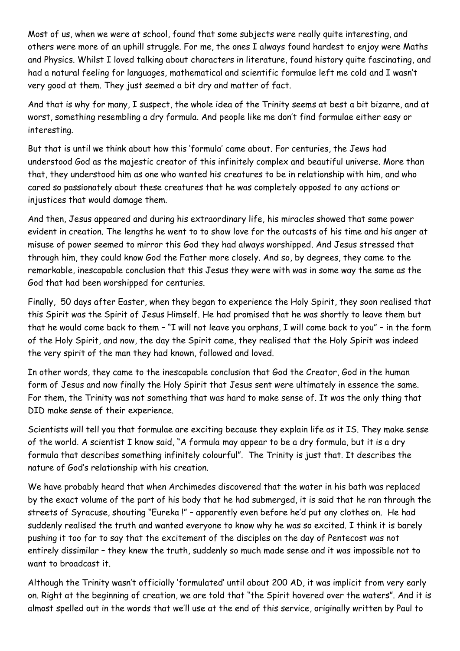Most of us, when we were at school, found that some subjects were really quite interesting, and others were more of an uphill struggle. For me, the ones I always found hardest to enjoy were Maths and Physics. Whilst I loved talking about characters in literature, found history quite fascinating, and had a natural feeling for languages, mathematical and scientific formulae left me cold and I wasn't very good at them. They just seemed a bit dry and matter of fact.

And that is why for many, I suspect, the whole idea of the Trinity seems at best a bit bizarre, and at worst, something resembling a dry formula. And people like me don't find formulae either easy or interesting.

But that is until we think about how this 'formula' came about. For centuries, the Jews had understood God as the majestic creator of this infinitely complex and beautiful universe. More than that, they understood him as one who wanted his creatures to be in relationship with him, and who cared so passionately about these creatures that he was completely opposed to any actions or injustices that would damage them.

And then, Jesus appeared and during his extraordinary life, his miracles showed that same power evident in creation. The lengths he went to to show love for the outcasts of his time and his anger at misuse of power seemed to mirror this God they had always worshipped. And Jesus stressed that through him, they could know God the Father more closely. And so, by degrees, they came to the remarkable, inescapable conclusion that this Jesus they were with was in some way the same as the God that had been worshipped for centuries.

Finally, 50 days after Easter, when they began to experience the Holy Spirit, they soon realised that this Spirit was the Spirit of Jesus Himself. He had promised that he was shortly to leave them but that he would come back to them – "I will not leave you orphans, I will come back to you" – in the form of the Holy Spirit, and now, the day the Spirit came, they realised that the Holy Spirit was indeed the very spirit of the man they had known, followed and loved.

In other words, they came to the inescapable conclusion that God the Creator, God in the human form of Jesus and now finally the Holy Spirit that Jesus sent were ultimately in essence the same. For them, the Trinity was not something that was hard to make sense of. It was the only thing that DID make sense of their experience.

Scientists will tell you that formulae are exciting because they explain life as it IS. They make sense of the world. A scientist I know said, "A formula may appear to be a dry formula, but it is a dry formula that describes something infinitely colourful". The Trinity is just that. It describes the nature of God's relationship with his creation.

We have probably heard that when Archimedes discovered that the water in his bath was replaced by the exact volume of the part of his body that he had submerged, it is said that he ran through the streets of Syracuse, shouting "Eureka !" – apparently even before he'd put any clothes on. He had suddenly realised the truth and wanted everyone to know why he was so excited. I think it is barely pushing it too far to say that the excitement of the disciples on the day of Pentecost was not entirely dissimilar – they knew the truth, suddenly so much made sense and it was impossible not to want to broadcast it.

Although the Trinity wasn't officially 'formulated' until about 200 AD, it was implicit from very early on. Right at the beginning of creation, we are told that "the Spirit hovered over the waters". And it is almost spelled out in the words that we'll use at the end of this service, originally written by Paul to